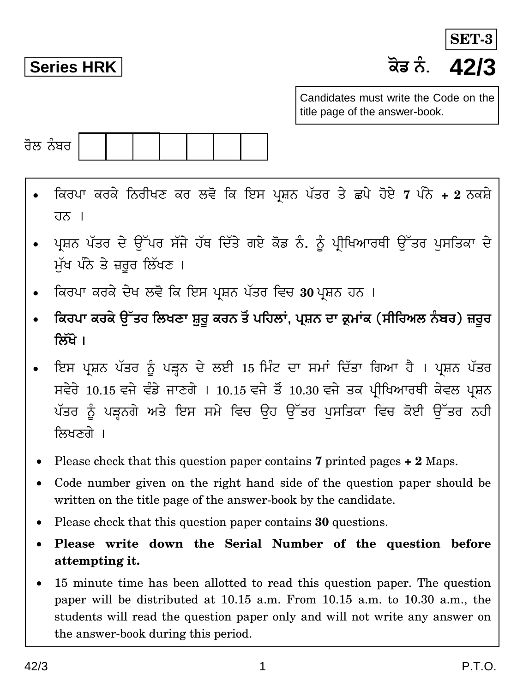**Series HRK H}T ²¥¾. 42/3 SET-**

Candidates must write the Code on the title page of the answer-book.



- qHc\p HcHy q²¾crIV Hc de} qH qBg \of²¾ \§Wc Wy N\y h}By **7** \¥² y¾ **+ 2** ²¾Hfy  $\overline{d}$ <sub> $\overline{b}$ </sub>  $\overline{b}$
- ਪਸ਼ਨ ਪੱਤਰ ਦੇ ਉੱਪਰ ਸੱਜੇ ਹੱਥ ਦਿੱਤੇ ਗਏ ਕੋਡ ਨੰ. ਨੂੰ ਪੀਖਿਆਰਥੀ ਉੱਤਰ ਪਸਤਿਕਾ ਦੇ ਮੱਖ ਪੰਨੇ ਤੇ ਜ਼ਰੂਰ ਲਿੱਖਣ**।**
- ਕਿਰਪਾ ਕਰਕੇ ਦੇਖ ਲਵੋ ਕਿ ਇਸ ਪ੍ਰਸ਼ਨ ਪੱਤਰ ਵਿਚ 30 ਪ੍ਰਸ਼ਨ ਹਨ ।
- ਕਿਰਪਾ ਕਰਕੇ ਉੱਤਰ ਲਿਖਣਾ ਸ਼ੁਰੂ ਕਰਨ ਤੋਂ ਪਹਿਲਾਂ, ਪ੍ਰਸ਼ਨ ਦਾ ਕ੍ਰਮਾਂਕ (ਸੀਰਿਅਲ ਨੰਬਰ) ਜ਼ਰੂਰ **क्रिंगे** ।
- ਇਸ ਪ੍ਰਸ਼ਨ ਪੱਤਰ ਨੂੰ ਪੜ੍ਹਨ ਦੇ ਲਈ 15 ਮਿੰਟ ਦਾ ਸਮਾਂ ਦਿੱਤਾ ਗਿਆ ਹੈ । ਪ੍ਰਸ਼ਨ ਪੱਤਰ ਸਵੇਰੇ 10.15 ਵਜੇ ਵੰਡੇ ਜਾਣਗੇ । 10.15 ਵਜੇ ਤੋਂ 10.30 ਵਜੇ ਤਕ ਪੀਖਿਆਰਥੀ ਕੇਵਲ ਪਸ਼ਨ ਪੱਤਰ ਨੂੰ ਪੜ੍ਹਨਗੇ ਅਤੇ ਇਸ ਸਮੇ ਵਿਚ ਉਹ ਉੱਤਰ ਪਸਤਿਕਾ ਵਿਚ ਕੋਈ ਉੱਤਰ ਨਹੀ ਲਿਖਣਗੇ ।
- Please check that this question paper contains **7** printed pages **+ 2** Maps.
- Code number given on the right hand side of the question paper should be written on the title page of the answer-book by the candidate.
- Please check that this question paper contains **30** questions.
- **Please write down the Serial Number of the question before attempting it.**
- 15 minute time has been allotted to read this question paper. The question paper will be distributed at 10.15 a.m. From 10.15 a.m. to 10.30 a.m., the students will read the question paper only and will not write any answer on the answer-book during this period.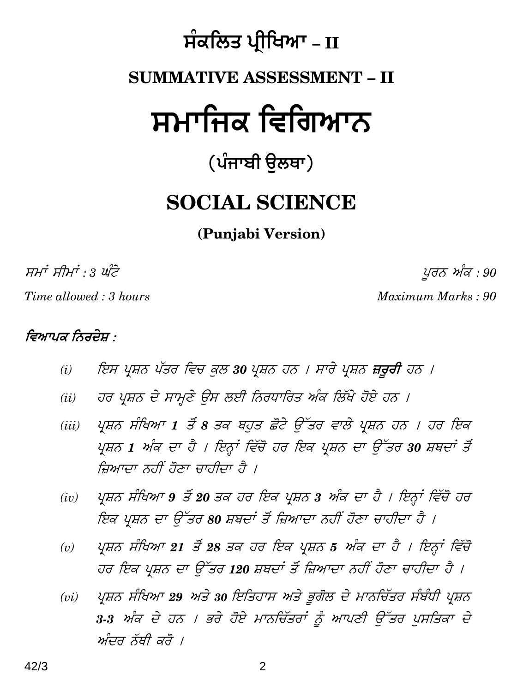# $\hat{\textbf{H}}$ ਕਲਿਤ ਪ੍ਰੀਖਿਆ – II

# **SUMMATIVE ASSESSMENT – II**

# ਸਮਾਜਿਕ ਵਿਗਿਆਨ

# (ਪੰਜਾਬੀ **ੳਲ**ਥਾ)

# **SOCIAL SCIENCE**

### **(Punjabi Version)**

 $\overline{H} H^{\dagger} H^{\dagger} : 3 \, \overline{u} \overline{\overline{c}}$  and  $\overline{c}$  and  $\overline{c}$  and  $\overline{c}$  and  $\overline{c}$  and  $\overline{c}$  and  $\overline{c}$  and  $\overline{c}$  and  $\overline{c}$  and  $\overline{c}$  and  $\overline{c}$  and  $\overline{c}$  and  $\overline{c}$  and  $\overline{c}$  and  $\overline{c$ 

*Time allowed : 3 hours Maximum Marks : 90*

### *ਵਿਆਪਕ ਨਿਰਦੇਸ਼ ·*

- (i) ਇਸ ਪ੍ਰਸ਼ਨ ਪੱਤਰ ਵਿਚ ਕੁਲ 30 ਪ੍ਰਸ਼ਨ ਹਨ । ਸਾਰੇ ਪ੍ਰਸ਼ਨ **ਜ਼ਰੂਰੀ** ਹਨ ।
- *(ii) ਹਰ ਪ੍ਰਸ਼ਨ ਦੇ ਸਾਮ੍ਣੇ ਉਸ ਲਈ ਨਿਰਧਾਰਿਤ ਅੰਕ ਲਿੱਖੇ ਹੋਏ ਹਨ ।*
- (iii) ਪ੍ਰਸ਼ਨ ਸੰਖਿਆ 1 ਤੋਂ 8 ਤਕ ਬਹਤ ਛੋਟੇ ਉੱਤਰ ਵਾਲੇ ਪ੍ਰਸ਼ਨ ਹਨ । ਹਰ ਇਕ  $\overline{Y}$ ਸ਼ਨ 1 ਅੰਕ ਦਾ ਹੈ । ਇਨ੍ਹਾਂ ਵਿੱਚੋਂ ਹਰ ਇਕ ਪ੍ਰਸ਼ਨ ਦਾ ਉੱਤਰ 30 ਸ਼ਬਦਾਂ ਤੋਂ ਜਿਆਦਾ ਨਹੀਂ ਹੋਣਾ ਚਾਹੀਦਾ ਹੈ ।
- (iv) ਪ੍ਰਸ਼ਨ ਸੰਖਿਆ 9 ਤੋਂ 20 ਤਕ ਹਰ ਇਕ ਪ੍ਰਸ਼ਨ 3 ਅੰਕ ਦਾ ਹੈ । ਇਨ੍ਹਾਂ ਵਿੱਚੋਂ ਹਰ ਇਕ ਪ੍ਰਸ਼ਨ ਦਾ ਉੱਤਰ 80 ਸ਼ਬਦਾਂ ਤੋਂ ਜ਼ਿਆਦਾ ਨਹੀਂ ਹੋਣਾ ਚਾਹੀਦਾ ਹੈ ।
- *(v) ਪਾਸ਼ਨ ਸੰਖਿਆ 21 ਤੋਂ 28 ਤਕ ਹਰ ਇਕ ਪਾਸ਼ਨ 5 ਅੰਕ ਦਾ ਹੈ । ਇਨ੍ਹਾਂ ਵਿੱਚੋਂ* ਹਰ ਇਕ ਪ੍ਰਸ਼ਨ ਦਾ ਉੱਤਰ 120 ਸ਼ਬਦਾਂ ਤੋਂ ਜ਼ਿਆਦਾ ਨਹੀਂ ਹੋਣਾ ਚਾਹੀਦਾ ਹੈ ।
- *(vi) ਪ੍ਰਸ਼ਨ ਸੰਖਿਆ 29 ਅਤੇ 30 ਇਤਿਹਾਸ ਅਤੇ ਭੂਗੋਲ ਦੇ ਮਾਨਚਿੱਤਰ ਸੰਬੰਧੀ ਪ੍ਰਸ਼ਨ* 3-3 ਅੰਕ ਦੇ ਹਨ । ਭਰੇ ਹੋਏ ਮਾਨਚਿੱਤਰਾਂ ਨੂੰ ਆਪਣੀ ਉੱਤਰ ਪਸਤਿਕਾ ਦੇ ਅੰਦਰ ਨੱਥੀ ਕਰੋ ।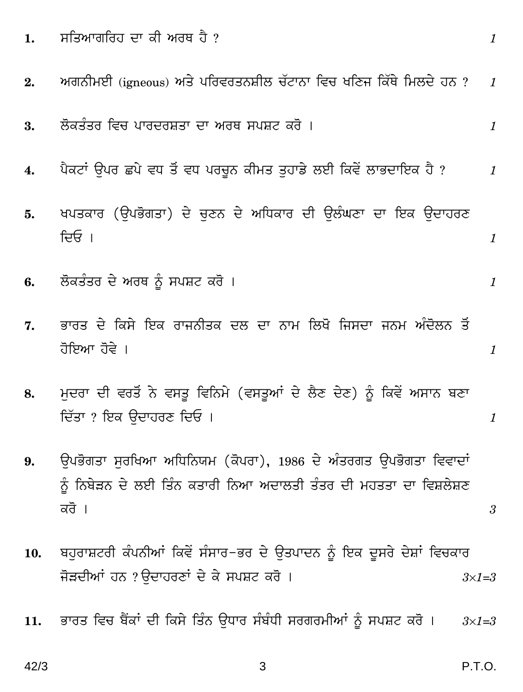ਸਤਿਆਗਰਿਹ ਦਾ ਕੀ ਅਰਥ ਹੈ  $\overline{?}$  $1.$  $\mathcal{I}$ ਅਗਨੀਮਈ (igneous) ਅਤੇ ਪਰਿਵਰਤਨਸ਼ੀਲ ਚੱਟਾਨਾ ਵਿਚ ਖਣਿਜ ਕਿੱਥੇ ਮਿਲਦੇ ਹਨ ?  $2.$  $\mathcal{I}$ ਲੋਕਤੰਤਰ ਵਿਚ ਪਾਰਦਰਸ਼ਤਾ ਦਾ ਅਰਥ ਸਪਸ਼ਟ ਕਰੋ । 3.  $\mathcal{I}$ ਪੈਕਟਾਂ ਉਪਰ ਛਪੇ ਵਧ ਤੋਂ ਵਧ ਪਰਚੁਨ ਕੀਮਤ ਤਹਾਡੇ ਲਈ ਕਿਵੇਂ ਲਾਭਦਾਇਕ ਹੈ ?  $\boldsymbol{4}$ .  $\mathcal I$ ਖਪਤਕਾਰ (ਉਪਭੋਗਤਾ) ਦੇ ਚਣਨ ਦੇ ਅਧਿਕਾਰ ਦੀ ਉਲੰਘਣਾ ਦਾ ਇਕ ਉਦਾਹਰਣ 5. ਦਿਓ ।  $\mathcal{I}$ ਲੋਕਤੰਤਰ ਦੇ ਅਰਥ ਨੂੰ ਸਪਸ਼ਟ ਕਰੋ । 6.  $\mathcal{I}$ ਭਾਰਤ ਦੇ ਕਿਸੇ ਇਕ ਰਾਜਨੀਤਕ ਦਲ ਦਾ ਨਾਮ ਲਿਖੋ ਜਿਸਦਾ ਜਨਮ ਅੰਦੋਲਨ ਤੋਂ 7. ਹੋਇਆ ਹੋਵੇ ।  $\mathcal{I}$ ਮਦਰਾ ਦੀ ਵਰਤੋਂ ਨੇ ਵਸਤੂ ਵਿਨਿਮੇ (ਵਸਤੂਆਂ ਦੇ ਲੈਣ ਦੇਣ) ਨੂੰ ਕਿਵੇਂ ਅਸਾਨ ਬਣਾ 8. ਦਿੱਤਾ ? ਇਕ ਉਦਾਹਰਣ ਦਿਓ ।  $\mathbf{1}$ ਉਪਭੋਗਤਾ ਸਰਖਿਆ ਅਧਿਨਿਯਮ (ਕੋਪਰਾ), 1986 ਦੇ ਅੰਤਰਗਤ ਉਪਭੋਗਤਾ ਵਿਵਾਦਾਂ 9. ਨੂੰ ਨਿਬੇੜਨ ਦੇ ਲਈ ਤਿੰਨ ਕਤਾਰੀ ਨਿਆ ਅਦਾਲਤੀ ਤੰਤਰ ਦੀ ਮਹਤਤਾ ਦਾ ਵਿਸ਼ਲੇਸ਼ਣ ਕਰੋ ।  $\mathcal{S}$ ਬਹੁਰਾਸ਼ਟਰੀ ਕੰਪਨੀਆਂ ਕਿਵੇਂ ਸੰਸਾਰ–ਭਰ ਦੇ ਉਤਪਾਦਨ ਨੂੰ ਇਕ ਦੂਸਰੇ ਦੇਸ਼ਾਂ ਵਿਚਕਾਰ 10. ਜੋੜਦੀਆਂ ਹਨ ?ਉਦਾਹਰਣਾਂ ਦੇ ਕੇ ਸਪਸ਼ਟ ਕਰੋ ।  $3\times1=3$ ਭਾਰਤ ਵਿਚ ਬੈਂਕਾਂ ਦੀ ਕਿਸੇ ਤਿੰਨ ਉਧਾਰ ਸੰਬੰਧੀ ਸਰਗਰਮੀਆਂ ਨੰ ਸਪਸ਼ਟ ਕਰੋ । 11.  $3\times1=3$ 

 $42/3$ 

P.T.O.

3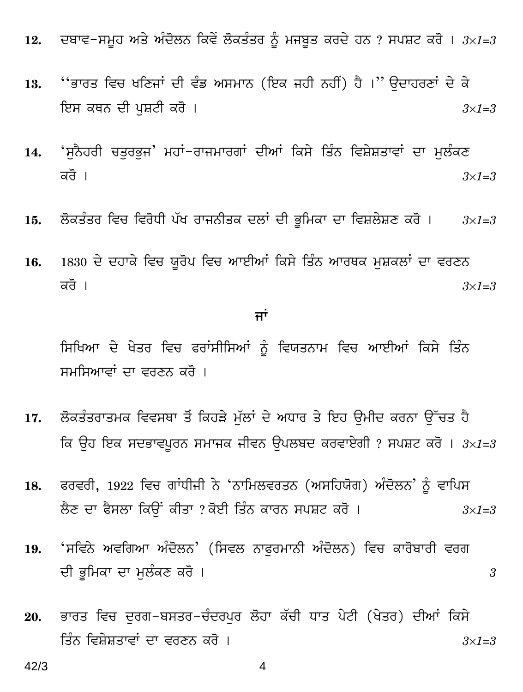- ਦਬਾਵ−ਸਮੂਹ ਅਤੇ ਅੰਦੋਲਨ ਕਿਵੇਂ ਲੋਕਤੰਤਰ ਨੂੰ ਮਜਬੂਤ ਕਰਦੇ ਹਨ ? ਸਪਸ਼ਟ ਕਰੋ । 3×1=3 12.
- ''ਭਾਰਤ ਵਿਚ ਖਣਿਜਾਂ ਦੀ ਵੰਡ ਅਸਮਾਨ (ਇਕ ਜਹੀ ਨਹੀਂ) ਹੈ ।'' ਉਦਾਹਰਣਾਂ ਦੇ ਕੇ 13. ਇਸ ਕਥਨ ਦੀ ਪੁਸ਼ਟੀ ਕਰੋ ।  $3\times1=3$
- 'ਸਨੈਹਰੀ ਚਤਰਭਜ' ਮਹਾਂ−ਰਾਜਮਾਰਗਾਂ ਦੀਆਂ ਕਿਸੇ ਤਿੰਨ ਵਿਸ਼ੇਸ਼ਤਾਵਾਂ ਦਾ ਮਲੰਕਣ 14. ਕਰੋ ।  $3\times1=3$
- ਲੋਕਤੰਤਰ ਵਿਚ ਵਿਰੋਧੀ ਪੱਖ ਰਾਜਨੀਤਕ ਦਲਾਂ ਦੀ ਭੂਮਿਕਾ ਦਾ ਵਿਸ਼ਲੇਸ਼ਣ ਕਰੋ ।  $15.$  $3\times1=3$
- 1830 ਦੇ ਦਹਾਕੇ ਵਿਚ ਯੁਰੋਪ ਵਿਚ ਆਈਆਂ ਕਿਸੇ ਤਿੰਨ ਆਰਥਕ ਮਸ਼ਕਲਾਂ ਦਾ ਵਰਣਨ 16. ਕਰੋ ।  $3\times1=3$

#### ਜਾਂ

ਸਿਖਿਆ ਦੇ ਖੇਤਰ ਵਿਚ ਫਰਾਂਸੀਸਿਆਂ ਨੂੰ ਵਿਯਤਨਾਮ ਵਿਚ ਆਈਆਂ ਕਿਸੇ ਤਿੰਨ ਸਮਸਿਆਵਾਂ ਦਾ ਵਰਣਨ ਕਰੋ ।

- ਲੋਕਤੰਤਰਾਤਮਕ ਵਿਵਸਥਾ ਤੋਂ ਕਿਹੜੇ ਮੱਲਾਂ ਦੇ ਅਧਾਰ ਤੇ ਇਹ ਉਮੀਦ ਕਰਨਾ ਉੱਚਤ ਹੈ 17. ਕਿ ਉਹ ਇਕ ਸਦਭਾਵਪੂਰਨ ਸਮਾਜਕ ਜੀਵਨ ਉਪਲਬਦ ਕਰਵਾਏਗੀ ? ਸਪਸ਼ਟ ਕਰੋ ।  $3\times1=3$
- ਫਰਵਰੀ, 1922 ਵਿਚ ਗਾਂਧੀਜੀ ਨੇ 'ਨਾਮਿਲਵਰਤਨ (ਅਸਹਿਯੋਗ) ਅੰਦੋਲਨ' ਨੰ ਵਾਪਿਸ 18. ਲੈਣ ਦਾ ਫੈਸਲਾ ਕਿੳਂ ਕੀਤਾ ? ਕੋਈ ਤਿੰਨ ਕਾਰਨ ਸਪਸ਼ਟ ਕਰੋ ।  $3\times1=3$
- 'ਸਵਿਨੇ ਅਵਗਿਆ ਅੰਦੋਲਨ' (ਸਿਵਲ ਨਾਫਰਮਾਨੀ ਅੰਦੋਲਨ) ਵਿਚ ਕਾਰੋਬਾਰੀ ਵਰਗ 19. ਦੀ ਭੂਮਿਕਾ ਦਾ ਮਲੰਕਣ ਕਰੋ ।

3

ਭਾਰਤ ਵਿਚ ਦਰਗ−ਬਸਤਰ−ਚੰਦਰਪਰ ਲੋਹਾ ਕੱਚੀ ਧਾਤ ਪੇਟੀ (ਖੇਤਰ) ਦੀਆਂ ਕਿਸੇ 20. ਤਿੰਨ ਵਿਸ਼ੇਸ਼ਤਾਵਾਂ ਦਾ ਵਰਣਨ ਕਰੋ ।  $3 \times 1 = 3$ 

4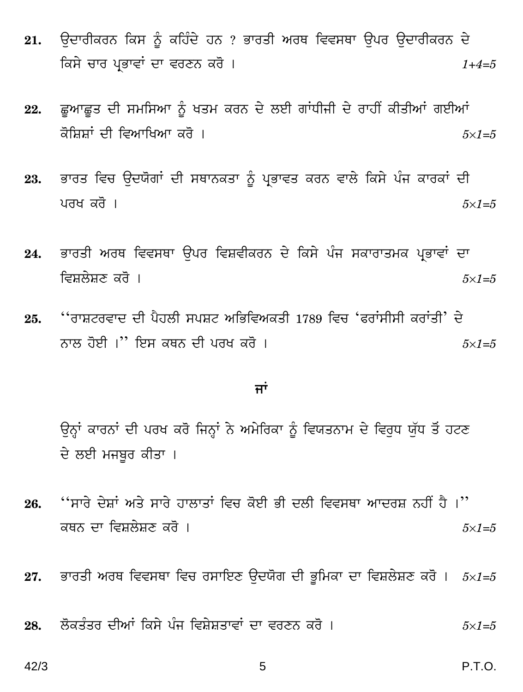- ਓਦਾਰੀਕਰਨ ਕਿਸ ਨੂੰ ਕਹਿੰਦੇ ਹਨ ? ਭਾਰਤੀ ਅਰਥ ਵਿਵਸਥਾ ਉਪਰ ਓਦਾਰੀਕਰਨ ਦੇ 21. ਕਿਸੇ ਚਾਰ ਪ੍ਰਭਾਵਾਂ ਦਾ ਵਰਣਨ ਕਰੋ ।  $1+4=5$
- ਛੁਆਛੁਤ ਦੀ ਸਮਸਿਆ ਨੂੰ ਖਤਮ ਕਰਨ ਦੇ ਲਈ ਗਾਂਧੀਜੀ ਦੇ ਰਾਹੀਂ ਕੀਤੀਆਂ ਗਈਆਂ 22. ਕੋਸਿਸਾਂ ਦੀ ਵਿਆਖਿਆ ਕਰੋ ।  $5\times1=5$
- ਭਾਰਤ ਵਿਚ ਉਦਯੋਗਾਂ ਦੀ ਸਥਾਨਕਤਾ ਨੂੰ ਪ੍ਰਭਾਵਤ ਕਰਨ ਵਾਲੇ ਕਿਸੇ ਪੰਜ ਕਾਰਕਾਂ ਦੀ 23. ਪਰਖ ਕਰੋ ।  $5\times1=5$
- ਭਾਰਤੀ ਅਰਥ ਵਿਵਸਥਾ ੳਪਰ ਵਿਸ਼ਵੀਕਰਨ ਦੇ ਕਿਸੇ ਪੰਜ ਸਕਾਰਾਤਮਕ ਪ੍ਰਭਾਵਾਂ ਦਾ 24. ਵਿਸ਼ਲੇਸ਼ਣ ਕਰੋ ।  $5\times1=5$
- ''ਰਾਸ਼ਟਰਵਾਦ ਦੀ ਪੈਹਲੀ ਸਪਸ਼ਟ ਅਭਿਵਿਅਕਤੀ 1789 ਵਿਚ 'ਫਰਾਂਸੀਸੀ ਕਰਾਂਤੀ' ਦੇ 25. ਨਾਲ ਹੋਈ ।'' ਇਸ ਕਥਨ ਦੀ ਪਰਖ ਕਰੋ ।  $5\times1=5$

#### ਜਾਂ

ਉਨ੍ਹਾਂ ਕਾਰਨਾਂ ਦੀ ਪਰਖ ਕਰੋ ਜਿਨ੍ਹਾਂ ਨੇ ਅਮੇਰਿਕਾ ਨੂੰ ਵਿਯਤਨਾਮ ਦੇ ਵਿਰਧ ਯੱਧ ਤੋਂ ਹਟਣ ਦੇ ਲਈ ਮਜਬਰ ਕੀਤਾ ।

- ''ਸਾਰੇ ਦੇਸ਼ਾਂ ਅਤੇ ਸਾਰੇ ਹਾਲਾਤਾਂ ਵਿਚ ਕੋਈ ਭੀ ਦਲੀ ਵਿਵਸਥਾ ਆਦਰਸ਼ ਨਹੀਂ ਹੈ ।'' 26. ਕਥਨ ਦਾ ਵਿਸ਼ਲੇਸ਼ਣ ਕਰੋ ।  $5\times1=5$
- ਭਾਰਤੀ ਅਰਥ ਵਿਵਸਥਾ ਵਿਚ ਰਸਾਇਣ ਉਦਯੋਗ ਦੀ ਭੂਮਿਕਾ ਦਾ ਵਿਸ਼ਲੇਸ਼ਣ ਕਰੋ।  $5\times1=5$ 27.
- ਲੋਕਤੰਤਰ ਦੀਆਂ ਕਿਸੇ ਪੰਜ ਵਿਸ਼ੇਸ਼ਤਾਵਾਂ ਦਾ ਵਰਣਨ ਕਰੋ । 28.  $5\times1=5$

 $42/3$ 

P.T.O.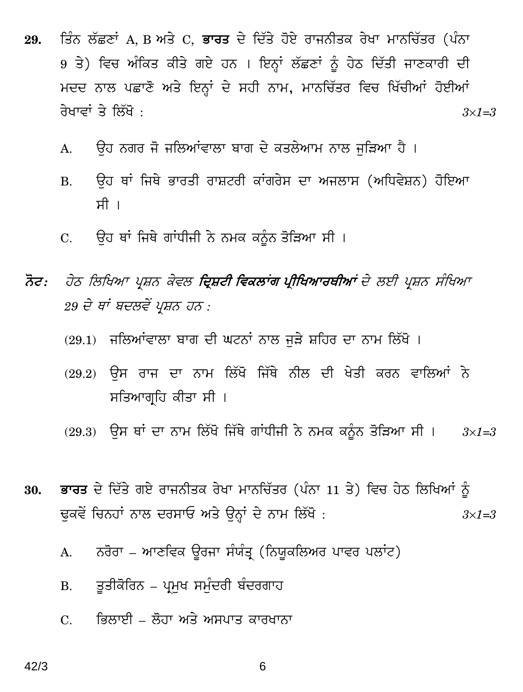- ਤਿੰਨ ਲੱਛਣਾਂ A, B ਅਤੇ C, **ਭਾਰਤ** ਦੇ ਦਿੱਤੇ ਹੋਏ ਰਾਜਨੀਤਕ ਰੇਖਾ ਮਾਨਚਿੱਤਰ (ਪੰਨਾ 29. 9 ਤੇ) ਵਿਚ ਅੰਕਿਤ ਕੀਤੇ ਗਏ ਹਨ । ਇਨ੍ਹਾਂ ਲੱਛਣਾਂ ਨੂੰ ਹੇਠ ਦਿੱਤੀ ਜਾਣਕਾਰੀ ਦੀ ਮਦਦ ਨਾਲ ਪਛਾਣੋ ਅਤੇ ਇਨ੍ਹਾਂ ਦੇ ਸਹੀ ਨਾਮ, ਮਾਨਚਿੱਤਰ ਵਿਚ ਖਿੱਚੀਆਂ ਹੋਈਆਂ ਰੇਖਾਵਾਂ ਤੇ ਲਿੱਖੋ :  $3\times1=3$ 
	- ਉਹ ਨਗਰ ਜੋ ਜਲਿਆਂਵਾਲਾ ਬਾਗ ਦੇ ਕਤਲੇਆਮ ਨਾਲ ਜੜਿਆ ਹੈ ।  $A<sub>1</sub>$
	- ਉਹ ਥਾਂ ਜਿਥੇ ਭਾਰਤੀ ਰਾਸ਼ਟਰੀ ਕਾਂਗਰੇਸ ਦਾ ਅਜਲਾਸ (ਅਧਿਵੇਸ਼ਨ) ਹੋਇਆ  $B<sub>1</sub>$ ਸੀ ।
	- ਉਹ ਥਾਂ ਜਿਥੇ ਗਾਂਧੀਜੀ ਨੇ ਨਮਕ ਕਨੂੰਨ ਤੋੜਿਆ ਸੀ ।  $C_{\cdot}$
- ਨੋਟ: ਹੇਠ ਲਿਖਿਆ ਪ੍ਰਸ਼ਨ ਕੇਵਲ **ਦ੍ਰਿਸ਼ਟੀ ਵਿਕਲਾਂਗ ਪ੍ਰੀਖਿਆਰਥੀਆਂ** ਦੇ ਲਈ ਪ੍ਰਸ਼ਨ ਸੰਖਿਆ 29 ਦੇ ਥਾਂ ਬਦਲਵੇਂ ਪ੍ਰਸ਼ਨ ਹਨ :
	- (29.1) ਜਲਿਆਂਵਾਲਾ ਬਾਗ ਦੀ ਘਟਨਾਂ ਨਾਲ ਜੜੇ ਸ਼ਹਿਰ ਦਾ ਨਾਮ ਲਿੱਖੋ ।
	- (29.2) ਉਸ ਰਾਜ ਦਾ ਨਾਮ ਲਿੱਖੋ ਜਿੱਥੇ ਨੀਲ ਦੀ ਖੇਤੀ ਕਰਨ ਵਾਲਿਆਂ ਨੇ ਸਤਿਆਗ੍ਰਹਿ ਕੀਤਾ ਸੀ ।
	- (29.3) ਉਸ ਥਾਂ ਦਾ ਨਾਮ ਲਿੱਖੋ ਜਿੱਥੇ ਗਾਂਧੀਜੀ ਨੇ ਨਮਕ ਕਨੂੰਨ ਤੋੜਿਆ ਸੀ ।  $3\times1=3$
- <mark>ਭਾਰਤ</mark> ਦੇ ਦਿੱਤੇ ਗਏ ਰਾਜਨੀਤਕ ਰੇਖਾ ਮਾਨਚਿੱਤਰ (ਪੰਨਾ 11 ਤੇ) ਵਿਚ ਹੇਠ ਲਿਖਿਆਂ ਨੰ 30. ਢੁਕਵੇਂ ਚਿਨਹਾਂ ਨਾਲ ਦਰਸਾਓ ਅਤੇ ਉਨ੍ਹਾਂ ਦੇ ਨਾਮ ਲਿੱਖੋ :  $3\times1=3$ 
	- ਨਰੋਰਾ ਆਣਵਿਕ ਉਰਜਾ ਸੰਯੰਤ੍ਰ (ਨਿਯੁਕਲਿਅਰ ਪਾਵਰ ਪਲਾਂਟ)  $A<sub>1</sub>$
	- ਤੁਤੀਕੋਰਿਨ ਪ੍ਰਮੁਖ ਸਮੁੰਦਰੀ ਬੰਦਰਗਾਹ **B.**
	- ਭਿਲਾਈ ਲੋਹਾ ਅਤੇ ਅਸਪਾਤ ਕਾਰਖਾਨਾ  $C_{\cdot}$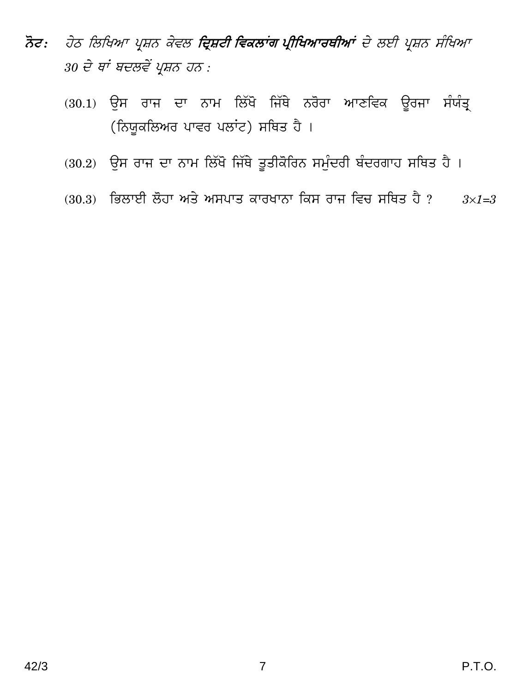- ਨੋਟ: ਹੇਠ ਲਿਖਿਆ ਪ੍ਰਸ਼ਨ ਕੇਵਲ **ਦ੍ਰਿਸ਼ਟੀ ਵਿਕਲਾਂਗ ਪ੍ਰੀਖਿਆਰਥੀਆਂ** ਦੇ ਲਈ ਪ੍ਰਸ਼ਨ ਸੰਖਿਆ 30 ਦੇ ਥਾਂ ਬਦਲਵੇਂ ਪ੍ਰਸ਼ਨ ਹਨ :
	- (30.1) ਉਸ ਰਾਜ ਦਾ ਨਾਮ ਲਿੱਖੋ ਜਿੱਥੇ ਨਰੋਰਾ ਆਣਵਿਕ ਉਰਜਾ ਸੰਯੰਤ੍ਰ (ਨਿਯੁਕਲਿਅਰ ਪਾਵਰ ਪਲਾਂਟ) ਸਥਿਤ ਹੈ।
	- (30.2) ਉਸ ਰਾਜ ਦਾ ਨਾਮ ਲਿੱਖੋ ਜਿੱਥੇ ਤੁਤੀਕੋਰਿਨ ਸਮੁੰਦਰੀ ਬੰਦਰਗਾਹ ਸਥਿਤ ਹੈ।
	- (30.3) ਭਿਲਾਈ ਲੋਹਾ ਅਤੇ ਅਸਪਾਤ ਕਾਰਖਾਨਾ ਕਿਸ ਰਾਜ ਵਿਚ ਸਥਿਤ ਹੈ ?  $3\times1=3$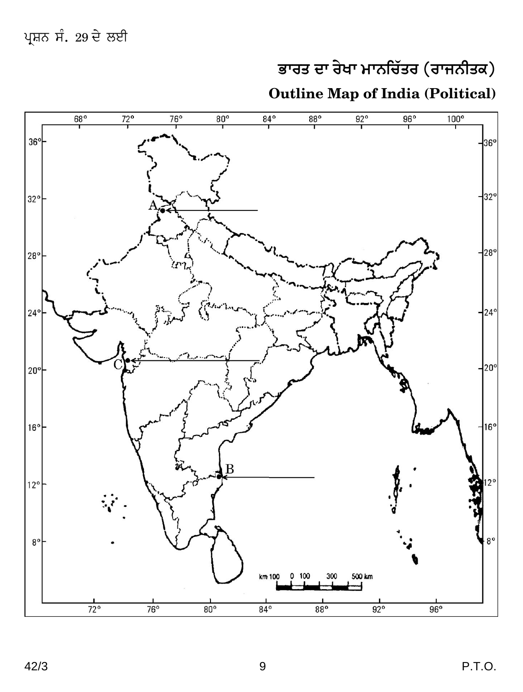# $\overline{a}$ ਭਾਰਤ ਦਾ ਰੇਖਾ ਮਾਨਚਿੱਤਰ (ਰਾਜਨੀਤਕ)

## **Outline Map of India (Political)**